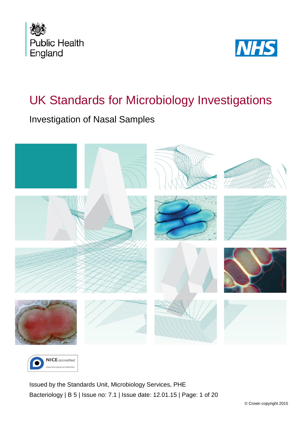



# UK Standards for Microbiology Investigations

### Investigation of Nasal Samples





<span id="page-0-0"></span>Issued by the Standards Unit, Microbiology Services, PHE Bacteriology | B 5 | Issue no: 7.1 | Issue date: 12.01.15 | Page: 1 of 20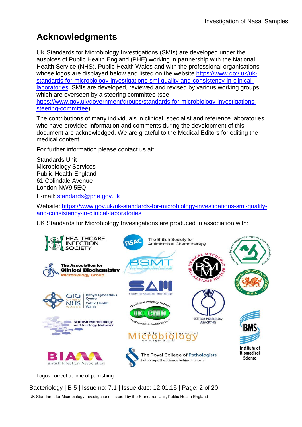# **Acknowledgments**

UK Standards for Microbiology Investigations (SMIs) are developed under the auspices of Public Health England (PHE) working in partnership with the National Health Service (NHS), Public Health Wales and with the professional organisations whose logos are displayed below and listed on the website [https://www.gov.uk/uk](https://www.gov.uk/uk-standards-for-microbiology-investigations-smi-quality-and-consistency-in-clinical-laboratories)[standards-for-microbiology-investigations-smi-quality-and-consistency-in-clinical](https://www.gov.uk/uk-standards-for-microbiology-investigations-smi-quality-and-consistency-in-clinical-laboratories)[laboratories.](https://www.gov.uk/uk-standards-for-microbiology-investigations-smi-quality-and-consistency-in-clinical-laboratories) SMIs are developed, reviewed and revised by various working groups which are overseen by a steering committee (see [https://www.gov.uk/government/groups/standards-for-microbiology-investigations](https://www.gov.uk/government/groups/standards-for-microbiology-investigations-steering-committee)[steering-committee\)](https://www.gov.uk/government/groups/standards-for-microbiology-investigations-steering-committee).

The contributions of many individuals in clinical, specialist and reference laboratories who have provided information and comments during the development of this document are acknowledged. We are grateful to the Medical Editors for editing the medical content.

For further information please contact us at:

Standards Unit Microbiology Services Public Health England 61 Colindale Avenue London NW9 5EQ

E-mail: [standards@phe.gov.uk](mailto:standards@phe.gov.uk)

Website: [https://www.gov.uk/uk-standards-for-microbiology-investigations-smi-quality](https://www.gov.uk/uk-standards-for-microbiology-investigations-smi-quality-and-consistency-in-clinical-laboratories)[and-consistency-in-clinical-laboratories](https://www.gov.uk/uk-standards-for-microbiology-investigations-smi-quality-and-consistency-in-clinical-laboratories)

UK Standards for Microbiology Investigations are produced in association with:



Logos correct at time of publishing.

Bacteriology | B 5 | Issue no: 7.1 | Issue date: 12.01.15 | Page: 2 of 20 UK Standards for Microbiology Investigations | Issued by the Standards Unit, Public Health England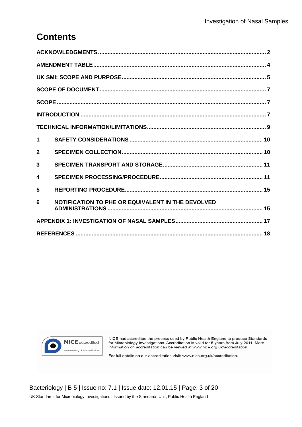### **Contents**

| 1            |                                                   |  |  |  |  |
|--------------|---------------------------------------------------|--|--|--|--|
| $\mathbf{2}$ |                                                   |  |  |  |  |
| 3            |                                                   |  |  |  |  |
| 4            |                                                   |  |  |  |  |
| 5            |                                                   |  |  |  |  |
| 6            | NOTIFICATION TO PHE OR EQUIVALENT IN THE DEVOLVED |  |  |  |  |
|              |                                                   |  |  |  |  |
|              |                                                   |  |  |  |  |



NICE has accredited the process used by Public Health England to produce Standards for Microbiology Investigations. Accreditation is valid for 5 years from July 2011. More information on accreditation can be viewed at www.nice.org.uk/accreditation.

For full details on our accreditation visit: www.nice.org.uk/accreditation.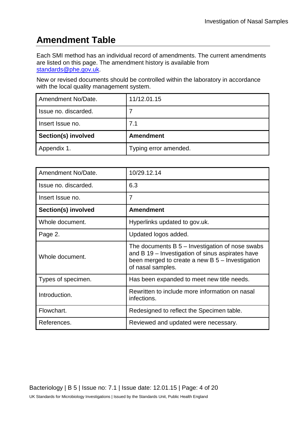# **Amendment Table**

Each SMI method has an individual record of amendments. The current amendments are listed on this page. The amendment history is available from [standards@phe.gov.uk.](mailto:standards@phe.gov.uk)

New or revised documents should be controlled within the laboratory in accordance with the local quality management system.

| Amendment No/Date.         | 11/12.01.15           |
|----------------------------|-----------------------|
| Issue no. discarded.       |                       |
| I Insert Issue no.         | 7.1                   |
| <b>Section(s) involved</b> | <b>Amendment</b>      |
| Appendix 1.                | Typing error amended. |

| Amendment No/Date.   | 10/29.12.14                                                                                                                                                                     |  |  |  |  |
|----------------------|---------------------------------------------------------------------------------------------------------------------------------------------------------------------------------|--|--|--|--|
| Issue no. discarded. | 6.3                                                                                                                                                                             |  |  |  |  |
| Insert Issue no.     | $\overline{7}$                                                                                                                                                                  |  |  |  |  |
| Section(s) involved  | <b>Amendment</b>                                                                                                                                                                |  |  |  |  |
| Whole document.      | Hyperlinks updated to gov.uk.                                                                                                                                                   |  |  |  |  |
| Page 2.              | Updated logos added.                                                                                                                                                            |  |  |  |  |
| Whole document.      | The documents $B_5$ – Investigation of nose swabs<br>and B 19 – Investigation of sinus aspirates have<br>been merged to create a new $B_5$ – Investigation<br>of nasal samples. |  |  |  |  |
| Types of specimen.   | Has been expanded to meet new title needs.                                                                                                                                      |  |  |  |  |
| Introduction.        | Rewritten to include more information on nasal<br>infections.                                                                                                                   |  |  |  |  |
| Flowchart.           | Redesigned to reflect the Specimen table.                                                                                                                                       |  |  |  |  |
| References.          | Reviewed and updated were necessary.                                                                                                                                            |  |  |  |  |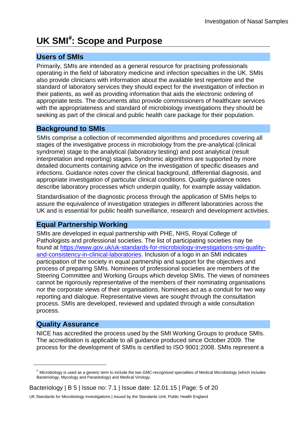# **UK SMI**[#](#page-0-0) **: Scope and Purpose**

#### **Users of SMIs**

Primarily, SMIs are intended as a general resource for practising professionals operating in the field of laboratory medicine and infection specialties in the UK. SMIs also provide clinicians with information about the available test repertoire and the standard of laboratory services they should expect for the investigation of infection in their patients, as well as providing information that aids the electronic ordering of appropriate tests. The documents also provide commissioners of healthcare services with the appropriateness and standard of microbiology investigations they should be seeking as part of the clinical and public health care package for their population.

#### **Background to SMIs**

SMIs comprise a collection of recommended algorithms and procedures covering all stages of the investigative process in microbiology from the pre-analytical (clinical syndrome) stage to the analytical (laboratory testing) and post analytical (result interpretation and reporting) stages. Syndromic algorithms are supported by more detailed documents containing advice on the investigation of specific diseases and infections. Guidance notes cover the clinical background, differential diagnosis, and appropriate investigation of particular clinical conditions. Quality guidance notes describe laboratory processes which underpin quality, for example assay validation.

Standardisation of the diagnostic process through the application of SMIs helps to assure the equivalence of investigation strategies in different laboratories across the UK and is essential for public health surveillance, research and development activities.

#### **Equal Partnership Working**

SMIs are developed in equal partnership with PHE, NHS, Royal College of Pathologists and professional societies. The list of participating societies may be found at [https://www.gov.uk/uk-standards-for-microbiology-investigations-smi-quality](https://www.gov.uk/uk-standards-for-microbiology-investigations-smi-quality-and-consistency-in-clinical-laboratories)[and-consistency-in-clinical-laboratories.](https://www.gov.uk/uk-standards-for-microbiology-investigations-smi-quality-and-consistency-in-clinical-laboratories) Inclusion of a logo in an SMI indicates participation of the society in equal partnership and support for the objectives and process of preparing SMIs. Nominees of professional societies are members of the Steering Committee and Working Groups which develop SMIs. The views of nominees cannot be rigorously representative of the members of their nominating organisations nor the corporate views of their organisations. Nominees act as a conduit for two way reporting and dialogue. Representative views are sought through the consultation process. SMIs are developed, reviewed and updated through a wide consultation process.

#### **Quality Assurance**

 $\overline{a}$ 

NICE has accredited the process used by the SMI Working Groups to produce SMIs. The accreditation is applicable to all guidance produced since October 2009. The process for the development of SMIs is certified to ISO 9001:2008. SMIs represent a

Bacteriology | B 5 | Issue no: 7.1 | Issue date: 12.01.15 | Page: 5 of 20

<sup>#</sup> Microbiology is used as a generic term to include the two GMC-recognised specialties of Medical Microbiology (which includes Bacteriology, Mycology and Parasitology) and Medical Virology.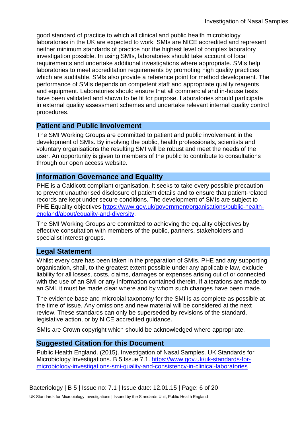good standard of practice to which all clinical and public health microbiology laboratories in the UK are expected to work. SMIs are NICE accredited and represent neither minimum standards of practice nor the highest level of complex laboratory investigation possible. In using SMIs, laboratories should take account of local requirements and undertake additional investigations where appropriate. SMIs help laboratories to meet accreditation requirements by promoting high quality practices which are auditable. SMIs also provide a reference point for method development. The performance of SMIs depends on competent staff and appropriate quality reagents and equipment. Laboratories should ensure that all commercial and in-house tests have been validated and shown to be fit for purpose. Laboratories should participate in external quality assessment schemes and undertake relevant internal quality control procedures.

#### **Patient and Public Involvement**

The SMI Working Groups are committed to patient and public involvement in the development of SMIs. By involving the public, health professionals, scientists and voluntary organisations the resulting SMI will be robust and meet the needs of the user. An opportunity is given to members of the public to contribute to consultations through our open access website.

#### **Information Governance and Equality**

PHE is a Caldicott compliant organisation. It seeks to take every possible precaution to prevent unauthorised disclosure of patient details and to ensure that patient-related records are kept under secure conditions. The development of SMIs are subject to PHE Equality objectives [https://www.gov.uk/government/organisations/public-health](https://www.gov.uk/government/organisations/public-health-england/about/equality-and-diversity)[england/about/equality-and-diversity.](https://www.gov.uk/government/organisations/public-health-england/about/equality-and-diversity)

The SMI Working Groups are committed to achieving the equality objectives by effective consultation with members of the public, partners, stakeholders and specialist interest groups.

### **Legal Statement**

Whilst every care has been taken in the preparation of SMIs, PHE and any supporting organisation, shall, to the greatest extent possible under any applicable law, exclude liability for all losses, costs, claims, damages or expenses arising out of or connected with the use of an SMI or any information contained therein. If alterations are made to an SMI, it must be made clear where and by whom such changes have been made.

The evidence base and microbial taxonomy for the SMI is as complete as possible at the time of issue. Any omissions and new material will be considered at the next review. These standards can only be superseded by revisions of the standard, legislative action, or by NICE accredited guidance.

SMIs are Crown copyright which should be acknowledged where appropriate.

### **Suggested Citation for this Document**

Public Health England. (2015). Investigation of Nasal Samples. UK Standards for Microbiology Investigations. B 5 Issue 7.1. [https://www.gov.uk/uk-standards-for](https://www.gov.uk/uk-standards-for-microbiology-investigations-smi-quality-and-consistency-in-clinical-laboratories)[microbiology-investigations-smi-quality-and-consistency-in-clinical-laboratories](https://www.gov.uk/uk-standards-for-microbiology-investigations-smi-quality-and-consistency-in-clinical-laboratories)

Bacteriology | B 5 | Issue no: 7.1 | Issue date: 12.01.15 | Page: 6 of 20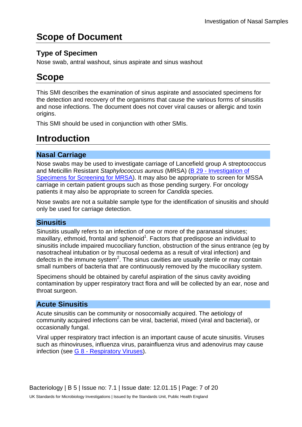# **Scope of Document**

### **Type of Specimen**

Nose swab, antral washout, sinus aspirate and sinus washout

# **Scope**

This SMI describes the examination of sinus aspirate and associated specimens for the detection and recovery of the organisms that cause the various forms of sinusitis and nose infections. The document does not cover viral causes or allergic and toxin origins.

This SMI should be used in conjunction with other SMIs.

# **Introduction**

### **Nasal Carriage**

Nose swabs may be used to investigate carriage of Lancefield group A streptococcus and Meticillin Resistant *Staphylococcus aureus* (MRSA) (B 29 - [Investigation of](https://www.gov.uk/government/collections/standards-for-microbiology-investigations-smi#bacteriology)  [Specimens for Screening for MRSA\)](https://www.gov.uk/government/collections/standards-for-microbiology-investigations-smi#bacteriology). It may also be appropriate to screen for MSSA carriage in certain patient groups such as those pending surgery. For oncology patients it may also be appropriate to screen for *Candida* species.

Nose swabs are not a suitable sample type for the identification of sinusitis and should only be used for carriage detection.

### **Sinusitis**

Sinusitis usually refers to an infection of one or more of the paranasal sinuses; maxillary, ethmoid, frontal and sphenoid<sup>1</sup>. Factors that predispose an individual to sinusitis include impaired mucociliary function, obstruction of the sinus entrance (eg by nasotracheal intubation or by mucosal oedema as a result of viral infection) and defects in the immune system<sup>2</sup>. The sinus cavities are usually sterile or may contain small numbers of bacteria that are continuously removed by the mucociliary system.

Specimens should be obtained by careful aspiration of the sinus cavity avoiding contamination by upper respiratory tract flora and will be collected by an ear, nose and throat surgeon.

### **Acute Sinusitis**

Acute sinusitis can be community or nosocomially acquired. The aetiology of community acquired infections can be viral, bacterial, mixed (viral and bacterial), or occasionally fungal.

Viral upper respiratory tract infection is an important cause of acute sinusitis. Viruses such as rhinoviruses, influenza virus, parainfluenza virus and adenovirus may cause infection (see G 8 - [Respiratory Viruses\)](https://www.gov.uk/government/collections/standards-for-microbiology-investigations-smi#clinical-related-guidance).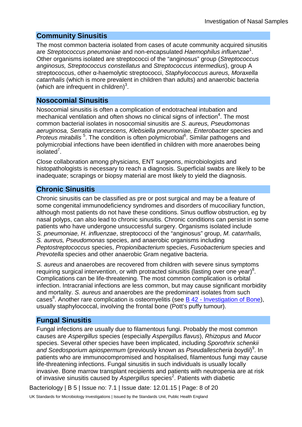#### **Community Sinusitis**

The most common bacteria isolated from cases of acute community acquired sinusitis are *Streptococcus pneumoniae* and non-encapsulated *Haemophilus influenzae*<sup>1</sup> . Other organisms isolated are streptococci of the "anginosus" group (*Streptococcus anginosus, Streptococcus constellatus* and *Streptococcus intermedius*), group A streptococcus, other α-haemolytic streptococci, *Staphylococcus aureus, Moraxella catarrhalis* (which is more prevalent in children than adults) and anaerobic bacteria (which are infrequent in children) $3$ .

#### **Nosocomial Sinusitis**

Nosocomial sinusitis is often a complication of endotracheal intubation and mechanical ventilation and often shows no clinical signs of infection $4$ . The most common bacterial isolates in nosocomial sinusitis are *S. aureus, Pseudomonas aeruginosa, Serratia marcescens, Klebsiella pneumoniae, Enterobacter* species and Proteus mirabilis<sup>5</sup>. The condition is often polymicrobial<sup>6</sup>. Similar pathogens and polymicrobial infections have been identified in children with more anaerobes being  $isolated<sup>7</sup>$ .

Close collaboration among physicians, ENT surgeons, microbiologists and histopathologists is necessary to reach a diagnosis. Superficial swabs are likely to be inadequate; scrapings or biopsy material are most likely to yield the diagnosis.

#### **Chronic Sinusitis**

Chronic sinusitis can be classified as pre or post surgical and may be a feature of some congenital immunodeficiency syndromes and disorders of mucociliary function, although most patients do not have these conditions. Sinus outflow obstruction, eg by nasal polyps, can also lead to chronic sinusitis. Chronic conditions can persist in some patients who have undergone unsuccessful surgery. Organisms isolated include *S. pneumoniae, H. influenzae*, streptococci of the "anginosus" group, *M. catarrhalis, S. aureus, Pseudomonas* species, and anaerobic organisms including *Peptostreptococcus* species, *Propionibacterium* species, *Fusobacterium* species and *Prevotella* species and other anaerobic Gram negative bacteria.

*S. aureus* and anaerobes are recovered from children with severe sinus symptoms requiring surgical intervention, or with protracted sinusitis (lasting over one year) $8$ . Complications can be life-threatening. The most common complication is orbital infection. Intracranial infections are less common, but may cause significant morbidity and mortality. *S. aureus* and anaerobes are the predominant isolates from such cases<sup>8</sup>. Another rare complication is osteomyelitis (see **B 42 - [Investigation of Bone\)](https://www.gov.uk/government/collections/standards-for-microbiology-investigations-smi#bacteriology)**, usually staphylococcal, involving the frontal bone (Pott's puffy tumour).

#### **Fungal Sinusitis**

Fungal infections are usually due to filamentous fungi. Probably the most common causes are *Aspergillus* species (especially *Aspergillus flavus*), *Rhizopus* and *Mucor* species. Several other species have been implicated, including *Sporothrix schenkii and Scedosporium apiospermum* (previously known as *Pseudallescheria boydii*) 9 . In patients who are immunocompromised and hospitalised, filamentous fungi may cause life-threatening infections. Fungal sinusitis in such individuals is usually locally invasive. Bone marrow transplant recipients and patients with neutropenia are at risk of invasive sinusitis caused by Aspergillus species<sup>2</sup>. Patients with diabetic

Bacteriology | B 5 | Issue no: 7.1 | Issue date: 12.01.15 | Page: 8 of 20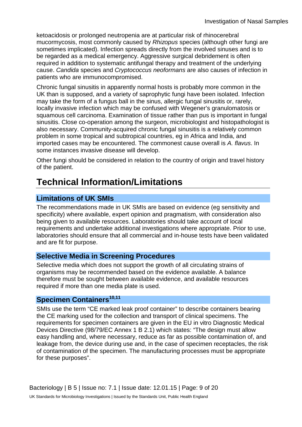ketoacidosis or prolonged neutropenia are at particular risk of rhinocerebral mucormycosis, most commonly caused by *Rhizopus* species (although other fungi are sometimes implicated). Infection spreads directly from the involved sinuses and is to be regarded as a medical emergency. Aggressive surgical debridement is often required in addition to systematic antifungal therapy and treatment of the underlying cause. *Candida* species and *Cryptococcus neoformans* are also causes of infection in patients who are immunocompromised.

Chronic fungal sinusitis in apparently normal hosts is probably more common in the UK than is supposed, and a variety of saprophytic fungi have been isolated. Infection may take the form of a fungus ball in the sinus, allergic fungal sinusitis or, rarely, locally invasive infection which may be confused with Wegener's granulomatosis or squamous cell carcinoma. Examination of tissue rather than pus is important in fungal sinusitis. Close co-operation among the surgeon, microbiologist and histopathologist is also necessary. Community-acquired chronic fungal sinusitis is a relatively common problem in some tropical and subtropical countries, eg in Africa and India, and imported cases may be encountered. The commonest cause overall is *A. flavus*. In some instances invasive disease will develop.

Other fungi should be considered in relation to the country of origin and travel history of the patient.

# **Technical Information/Limitations**

### **Limitations of UK SMIs**

The recommendations made in UK SMIs are based on evidence (eg sensitivity and specificity) where available, expert opinion and pragmatism, with consideration also being given to available resources. Laboratories should take account of local requirements and undertake additional investigations where appropriate. Prior to use, laboratories should ensure that all commercial and in-house tests have been validated and are fit for purpose.

#### **Selective Media in Screening Procedures**

Selective media which does not support the growth of all circulating strains of organisms may be recommended based on the evidence available. A balance therefore must be sought between available evidence, and available resources required if more than one media plate is used.

#### **Specimen Containers10,11**

SMIs use the term "CE marked leak proof container" to describe containers bearing the CE marking used for the collection and transport of clinical specimens. The requirements for specimen containers are given in the EU in vitro Diagnostic Medical Devices Directive (98/79/EC Annex 1 B 2.1) which states: "The design must allow easy handling and, where necessary, reduce as far as possible contamination of, and leakage from, the device during use and, in the case of specimen receptacles, the risk of contamination of the specimen. The manufacturing processes must be appropriate for these purposes".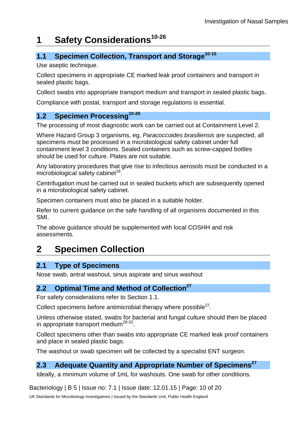# **1 Safety Considerations10-26**

### **1.1 Specimen Collection, Transport and Storage<sup>10-15</sup>**

Use aseptic technique.

Collect specimens in appropriate CE marked leak proof containers and transport in sealed plastic bags.

Collect swabs into appropriate transport medium and transport in sealed plastic bags.

Compliance with postal, transport and storage regulations is essential.

### **1.2 Specimen Processing**<sup>10-26</sup>

The processing of most diagnostic work can be carried out at Containment Level 2.

Where Hazard Group 3 organisms, eg, *Paracoccoides brasiliensis* are suspected, all specimens must be processed in a microbiological safety cabinet under full containment level 3 conditions. Sealed containers such as screw-capped bottles should be used for culture. Plates are not suitable.

Any laboratory procedures that give rise to infectious aerosols must be conducted in a microbiological safety cabinet<sup>18</sup>.

Centrifugation must be carried out in sealed buckets which are subsequently opened in a microbiological safety cabinet.

Specimen containers must also be placed in a suitable holder.

Refer to current guidance on the safe handling of all organisms documented in this SMI.

The above guidance should be supplemented with local COSHH and risk assessments.

### **2 Specimen Collection**

#### **2.1 Type of Specimens**

Nose swab, antral washout, sinus aspirate and sinus washout

#### **2.2 Optimal Time and Method of Collection**<sup>27</sup>

For safety considerations refer to Section 1.1.

Collect specimens before antimicrobial therapy where possible<sup>27</sup>.

Unless otherwise stated, swabs for bacterial and fungal culture should then be placed in appropriate transport medium<sup>28-32</sup>.

Collect specimens other than swabs into appropriate CE marked leak proof containers and place in sealed plastic bags.

The washout or swab specimen will be collected by a specialist ENT surgeon.

### **2.3 Adequate Quantity and Appropriate Number of Specimens<sup>27</sup>**

Ideally, a minimum volume of 1mL for washouts. One swab for other conditions.

Bacteriology | B 5 | Issue no: 7.1 | Issue date: 12.01.15 | Page: 10 of 20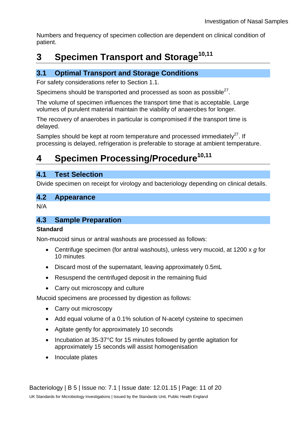Numbers and frequency of specimen collection are dependent on clinical condition of patient.

# **3 Specimen Transport and Storage10,11**

### **3.1 Optimal Transport and Storage Conditions**

For safety considerations refer to Section 1.1.

Specimens should be transported and processed as soon as possible $^{27}$ .

The volume of specimen influences the transport time that is acceptable. Large volumes of purulent material maintain the viability of anaerobes for longer.

The recovery of anaerobes in particular is compromised if the transport time is delayed.

Samples should be kept at room temperature and processed immediately<sup>27</sup>. If processing is delayed, refrigeration is preferable to storage at ambient temperature.

# **4 Specimen Processing/Procedure10,11**

#### **4.1 Test Selection**

Divide specimen on receipt for virology and bacteriology depending on clinical details.

#### **4.2 Appearance**

N/A

#### **4.3 Sample Preparation**

#### **Standard**

Non-mucoid sinus or antral washouts are processed as follows:

- Centrifuge specimen (for antral washouts), unless very mucoid, at 1200 x *g* for 10 minutes
- Discard most of the supernatant, leaving approximately 0.5mL
- Resuspend the centrifuged deposit in the remaining fluid
- Carry out microscopy and culture

Mucoid specimens are processed by digestion as follows:

- Carry out microscopy
- Add equal volume of a 0.1% solution of N-acetyl cysteine to specimen
- Agitate gently for approximately 10 seconds
- Incubation at 35-37°C for 15 minutes followed by gentle agitation for approximately 15 seconds will assist homogenisation
- Inoculate plates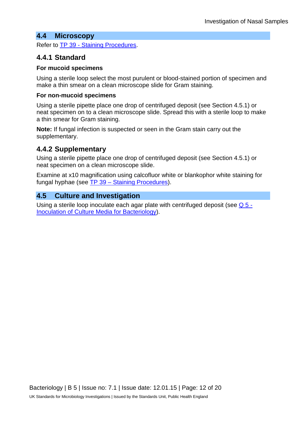#### **4.4 Microscopy**

Refer to TP 39 - [Staining Procedures.](https://www.gov.uk/government/collections/standards-for-microbiology-investigations-smi#test-procedures)

#### **4.4.1 Standard**

#### **For mucoid specimens**

Using a sterile loop select the most purulent or blood-stained portion of specimen and make a thin smear on a clean microscope slide for Gram staining.

#### **For non-mucoid specimens**

Using a sterile pipette place one drop of centrifuged deposit (see Section 4.5.1) or neat specimen on to a clean microscope slide. Spread this with a sterile loop to make a thin smear for Gram staining.

**Note:** If fungal infection is suspected or seen in the Gram stain carry out the supplementary.

#### **4.4.2 Supplementary**

Using a sterile pipette place one drop of centrifuged deposit (see Section 4.5.1) or neat specimen on a clean microscope slide.

Examine at x10 magnification using calcofluor white or blankophor white staining for fungal hyphae (see TP 39 – [Staining Procedures\)](https://www.gov.uk/government/collections/standards-for-microbiology-investigations-smi#test-procedures).

#### **4.5 Culture and Investigation**

Using a sterile loop inoculate each agar plate with centrifuged deposit (see [Q 5 -](https://www.gov.uk/government/collections/standards-for-microbiology-investigations-smi#quality-related-guidance) [Inoculation of Culture Media](https://www.gov.uk/government/collections/standards-for-microbiology-investigations-smi#quality-related-guidance) for Bacteriology).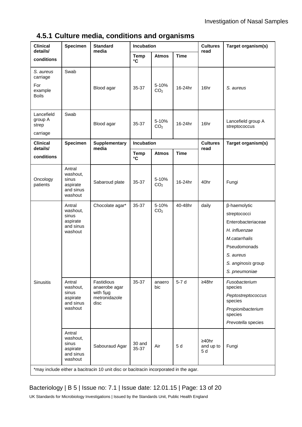### **4.5.1 Culture media, conditions and organisms**

| <b>Clinical</b><br>details/                             | <b>Specimen</b>                                                 | <b>Standard</b><br>media                                                                                | Incubation                  |                          |             | <b>Cultures</b>           | Target organism(s)                                                                                                                                       |
|---------------------------------------------------------|-----------------------------------------------------------------|---------------------------------------------------------------------------------------------------------|-----------------------------|--------------------------|-------------|---------------------------|----------------------------------------------------------------------------------------------------------------------------------------------------------|
| conditions                                              |                                                                 |                                                                                                         | <b>Temp</b><br>$\mathbf{C}$ | <b>Atmos</b>             | <b>Time</b> | read                      |                                                                                                                                                          |
| S. aureus<br>carriage<br>For<br>example<br><b>Boils</b> | Swab                                                            | Blood agar                                                                                              | 35-37                       | 5-10%<br>CO <sub>2</sub> | 16-24hr     | 16hr                      | S. aureus                                                                                                                                                |
| Lancefield<br>group A<br>strep<br>carriage              | Swab                                                            | Blood agar                                                                                              | 35-37                       | 5-10%<br>CO <sub>2</sub> | 16-24hr     | 16hr                      | Lancefield group A<br>streptococcus                                                                                                                      |
| <b>Clinical</b><br>details/                             | <b>Specimen</b>                                                 | <b>Supplementary</b><br>media                                                                           | Incubation                  |                          |             | <b>Cultures</b><br>read   | Target organism(s)                                                                                                                                       |
| conditions                                              |                                                                 |                                                                                                         | <b>Temp</b><br>$\mathbf{C}$ | <b>Atmos</b>             | <b>Time</b> |                           |                                                                                                                                                          |
| Oncology<br>patients                                    | Antral<br>washout,<br>sinus<br>aspirate<br>and sinus<br>washout | Sabaroud plate                                                                                          | 35-37                       | 5-10%<br>CO <sub>2</sub> | 16-24hr     | 40hr                      | Fungi                                                                                                                                                    |
|                                                         | Antral<br>washout,<br>sinus<br>aspirate<br>and sinus<br>washout | Chocolate agar*                                                                                         | 35-37                       | 5-10%<br>CO <sub>2</sub> | 40-48hr     | daily                     | β-haemolytic<br>streptococci<br>Enterobacteriaceae<br>H. influenzae<br>M.catarrhalis<br>Pseudomonads<br>S. aureus<br>S. anginosis group<br>S. pneumoniae |
| <b>Sinusitis</b>                                        | Antral<br>washout,<br>sinus<br>aspirate<br>and sinus<br>washout | Fastidious<br>anaerobe agar<br>with 5µg<br>metronidazole<br>disc                                        | 35-37                       | anaero<br>bic            | $5-7d$      | ≥48hr                     | Fusobacterium<br>species<br>Peptostreptococcus<br>species<br>Propionibacterium<br>species<br>Prevotella species                                          |
|                                                         | Antral<br>washout,<br>sinus<br>aspirate<br>and sinus<br>washout | Sabouraud Agar<br>*may include either a bacitracin 10 unit disc or bacitracin incorporated in the agar. | 30 and<br>35-37             | Air                      | 5 d         | ≥40hr<br>and up to<br>5 d | Fungi                                                                                                                                                    |

### Bacteriology | B 5 | Issue no: 7.1 | Issue date: 12.01.15 | Page: 13 of 20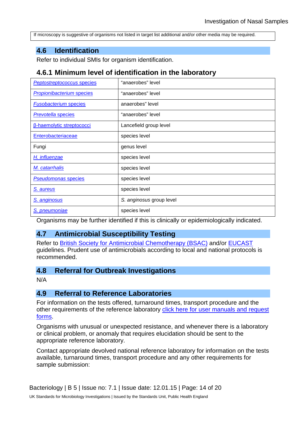If microscopy is suggestive of organisms not listed in target list additional and/or other media may be required.

#### **4.6 Identification**

Refer to individual SMIs for organism identification.

#### **4.6.1 Minimum level of identification in the laboratory**

| <b>Peptostreptococcus species</b> | "anaerobes" level        |  |  |  |  |
|-----------------------------------|--------------------------|--|--|--|--|
| <b>Propionibacterium species</b>  | "anaerobes" level        |  |  |  |  |
| <b>Fusobacterium species</b>      | anaerobes" level         |  |  |  |  |
| <b>Prevotella species</b>         | "anaerobes" level        |  |  |  |  |
| <b>B-haemolytic streptococci</b>  | Lancefield group level   |  |  |  |  |
| Enterobacteriaceae                | species level            |  |  |  |  |
| Fungi                             | genus level              |  |  |  |  |
| H. influenzae                     | species level            |  |  |  |  |
| M. catarrhalis                    | species level            |  |  |  |  |
| <b>Pseudomonas species</b>        | species level            |  |  |  |  |
| S. aureus                         | species level            |  |  |  |  |
| S. anginosus                      | S. anginosus group level |  |  |  |  |
| S. pneumoniae                     | species level            |  |  |  |  |

Organisms may be further identified if this is clinically or epidemiologically indicated.

#### **4.7 Antimicrobial Susceptibility Testing**

Refer to [British Society for Antimicrobial Chemotherapy \(BSAC\)](http://bsac.org.uk/) and/or [EUCAST](http://www.eucast.org/) guidelines. Prudent use of antimicrobials according to local and national protocols is recommended.

#### **4.8 Referral for Outbreak Investigations**

N/A

#### **4.9 Referral to Reference Laboratories**

For information on the tests offered, turnaround times, transport procedure and the other requirements of the reference laboratory [click here for user manuals and request](https://www.gov.uk/specialist-and-reference-microbiology-laboratory-tests-and-services)  [forms.](https://www.gov.uk/specialist-and-reference-microbiology-laboratory-tests-and-services)

Organisms with unusual or unexpected resistance, and whenever there is a laboratory or clinical problem, or anomaly that requires elucidation should be sent to the appropriate reference laboratory.

Contact appropriate devolved national reference laboratory for information on the tests available, turnaround times, transport procedure and any other requirements for sample submission: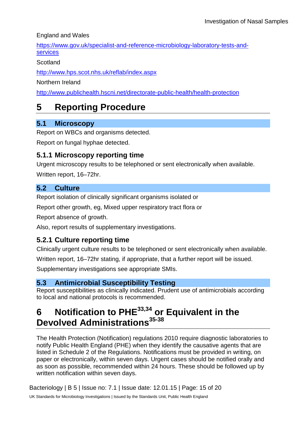England and Wales

[https://www.gov.uk/specialist-and-reference-microbiology-laboratory-tests-and](https://www.gov.uk/specialist-and-reference-microbiology-laboratory-tests-and-services)[services](https://www.gov.uk/specialist-and-reference-microbiology-laboratory-tests-and-services)

**Scotland** 

<http://www.hps.scot.nhs.uk/reflab/index.aspx>

Northern Ireland

<http://www.publichealth.hscni.net/directorate-public-health/health-protection>

### **5 Reporting Procedure**

### **5.1 Microscopy**

Report on WBCs and organisms detected.

Report on fungal hyphae detected.

### **5.1.1 Microscopy reporting time**

Urgent microscopy results to be telephoned or sent electronically when available.

Written report, 16–72hr.

### **5.2 Culture**

Report isolation of clinically significant organisms isolated or

Report other growth, eg, Mixed upper respiratory tract flora or

Report absence of growth.

Also, report results of supplementary investigations.

### **5.2.1 Culture reporting time**

Clinically urgent culture results to be telephoned or sent electronically when available.

Written report, 16–72hr stating, if appropriate, that a further report will be issued.

Supplementary investigations see appropriate SMIs.

### **5.3 Antimicrobial Susceptibility Testing**

Report susceptibilities as clinically indicated. Prudent use of antimicrobials according to local and national protocols is recommended.

# **6 Notification to PHE33,34 or Equivalent in the Devolved Administrations35-38**

The Health Protection (Notification) regulations 2010 require diagnostic laboratories to notify Public Health England (PHE) when they identify the causative agents that are listed in Schedule 2 of the Regulations. Notifications must be provided in writing, on paper or electronically, within seven days. Urgent cases should be notified orally and as soon as possible, recommended within 24 hours. These should be followed up by written notification within seven days.

Bacteriology | B 5 | Issue no: 7.1 | Issue date: 12.01.15 | Page: 15 of 20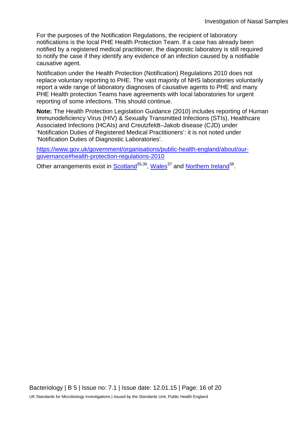For the purposes of the Notification Regulations, the recipient of laboratory notifications is the local PHE Health Protection Team. If a case has already been notified by a registered medical practitioner, the diagnostic laboratory is still required to notify the case if they identify any evidence of an infection caused by a notifiable causative agent.

Notification under the Health Protection (Notification) Regulations 2010 does not replace voluntary reporting to PHE. The vast majority of NHS laboratories voluntarily report a wide range of laboratory diagnoses of causative agents to PHE and many PHE Health protection Teams have agreements with local laboratories for urgent reporting of some infections. This should continue.

**Note:** The Health Protection Legislation Guidance (2010) includes reporting of Human Immunodeficiency Virus (HIV) & Sexually Transmitted Infections (STIs), Healthcare Associated Infections (HCAIs) and Creutzfeldt–Jakob disease (CJD) under 'Notification Duties of Registered Medical Practitioners': it is not noted under 'Notification Duties of Diagnostic Laboratories'.

[https://www.gov.uk/government/organisations/public-health-england/about/our](https://www.gov.uk/government/organisations/public-health-england/about/our-governance#health-protection-regulations-2010)[governance#health-protection-regulations-2010](https://www.gov.uk/government/organisations/public-health-england/about/our-governance#health-protection-regulations-2010)

Other arrangements exist in [Scotland](http://www.scotland.gov.uk/Topics/Health/Policy/Public-Health-Act/Implementation/Guidance/Guidance-Part2)<sup>35,36</sup>, Wales<sup>37</sup> and [Northern Ireland](http://www.publichealth.hscni.net/directorate-public-health/health-protection)<sup>38</sup>.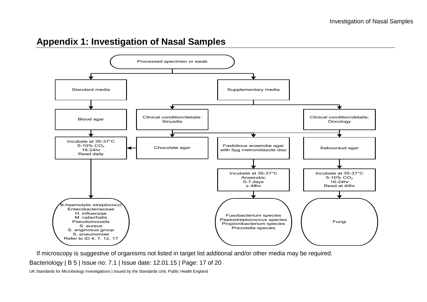### **Appendix 1: Investigation of Nasal Samples**



If microscopy is suggestive of organisms not listed in target list additional and/or other media may be required.

Bacteriology | B 5 | Issue no: 7.1 | Issue date: 12.01.15 | Page: 17 of 20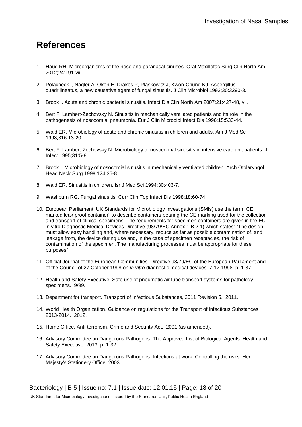### **References**

- 1. Haug RH. Microorganisms of the nose and paranasal sinuses. Oral Maxillofac Surg Clin North Am 2012;24:191-viii.
- 2. Polacheck I, Nagler A, Okon E, Drakos P, Plaskowitz J, Kwon-Chung KJ. Aspergillus quadrilineatus, a new causative agent of fungal sinusitis. J Clin Microbiol 1992;30:3290-3.
- 3. Brook I. Acute and chronic bacterial sinusitis. Infect Dis Clin North Am 2007;21:427-48, vii.
- 4. Bert F, Lambert-Zechovsky N. Sinusitis in mechanically ventilated patients and its role in the pathogenesis of nosocomial pneumonia. Eur J Clin Microbiol Infect Dis 1996;15:533-44.
- 5. Wald ER. Microbiology of acute and chronic sinusitis in children and adults. Am J Med Sci 1998;316:13-20.
- 6. Bert F, Lambert-Zechovsky N. Microbiology of nosocomial sinusitis in intensive care unit patients. J Infect 1995;31:5-8.
- 7. Brook I. Microbiology of nosocomial sinusitis in mechanically ventilated children. Arch Otolaryngol Head Neck Surg 1998;124:35-8.
- 8. Wald ER. Sinusitis in children. Isr J Med Sci 1994;30:403-7.
- 9. Washburn RG. Fungal sinusitis. Curr Clin Top Infect Dis 1998;18:60-74.
- 10. European Parliament. UK Standards for Microbiology Investigations (SMIs) use the term "CE marked leak proof container" to describe containers bearing the CE marking used for the collection and transport of clinical specimens. The requirements for specimen containers are given in the EU in vitro Diagnostic Medical Devices Directive (98/79/EC Annex 1 B 2.1) which states: "The design must allow easy handling and, where necessary, reduce as far as possible contamination of, and leakage from, the device during use and, in the case of specimen receptacles, the risk of contamination of the specimen. The manufacturing processes must be appropriate for these purposes".
- 11. Official Journal of the European Communities. Directive 98/79/EC of the European Parliament and of the Council of 27 October 1998 on *in vitro* diagnostic medical devices. 7-12-1998. p. 1-37.
- 12. Health and Safety Executive. Safe use of pneumatic air tube transport systems for pathology specimens. 9/99.
- 13. Department for transport. Transport of Infectious Substances, 2011 Revision 5. 2011.
- 14. World Health Organization. Guidance on regulations for the Transport of Infectious Substances 2013-2014. 2012.
- 15. Home Office. Anti-terrorism, Crime and Security Act. 2001 (as amended).
- 16. Advisory Committee on Dangerous Pathogens. The Approved List of Biological Agents. Health and Safety Executive. 2013. p. 1-32
- 17. Advisory Committee on Dangerous Pathogens. Infections at work: Controlling the risks. Her Majesty's Stationery Office. 2003.

Bacteriology | B 5 | Issue no: 7.1 | Issue date: 12.01.15 | Page: 18 of 20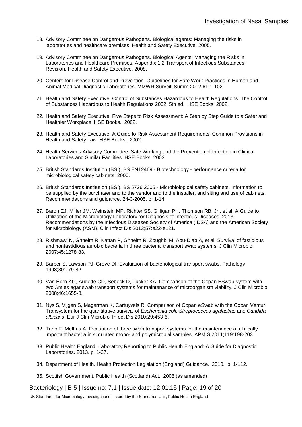- 18. Advisory Committee on Dangerous Pathogens. Biological agents: Managing the risks in laboratories and healthcare premises. Health and Safety Executive. 2005.
- 19. Advisory Committee on Dangerous Pathogens. Biological Agents: Managing the Risks in Laboratories and Healthcare Premises. Appendix 1.2 Transport of Infectious Substances - Revision. Health and Safety Executive. 2008.
- 20. Centers for Disease Control and Prevention. Guidelines for Safe Work Practices in Human and Animal Medical Diagnostic Laboratories. MMWR Surveill Summ 2012;61:1-102.
- 21. Health and Safety Executive. Control of Substances Hazardous to Health Regulations. The Control of Substances Hazardous to Health Regulations 2002. 5th ed. HSE Books; 2002.
- 22. Health and Safety Executive. Five Steps to Risk Assessment: A Step by Step Guide to a Safer and Healthier Workplace. HSE Books. 2002.
- 23. Health and Safety Executive. A Guide to Risk Assessment Requirements: Common Provisions in Health and Safety Law. HSE Books. 2002.
- 24. Health Services Advisory Committee. Safe Working and the Prevention of Infection in Clinical Laboratories and Similar Facilities. HSE Books. 2003.
- 25. British Standards Institution (BSI). BS EN12469 Biotechnology performance criteria for microbiological safety cabinets. 2000.
- 26. British Standards Institution (BSI). BS 5726:2005 Microbiological safety cabinets. Information to be supplied by the purchaser and to the vendor and to the installer, and siting and use of cabinets. Recommendations and guidance. 24-3-2005. p. 1-14
- 27. Baron EJ, Miller JM, Weinstein MP, Richter SS, Gilligan PH, Thomson RB, Jr., et al. A Guide to Utilization of the Microbiology Laboratory for Diagnosis of Infectious Diseases: 2013 Recommendations by the Infectious Diseases Society of America (IDSA) and the American Society for Microbiology (ASM). Clin Infect Dis 2013;57:e22-e121.
- 28. Rishmawi N, Ghneim R, Kattan R, Ghneim R, Zoughbi M, Abu-Diab A, et al. Survival of fastidious and nonfastidious aerobic bacteria in three bacterial transport swab systems. J Clin Microbiol 2007;45:1278-83.
- 29. Barber S, Lawson PJ, Grove DI. Evaluation of bacteriological transport swabs. Pathology 1998;30:179-82.
- 30. Van Horn KG, Audette CD, Sebeck D, Tucker KA. Comparison of the Copan ESwab system with two Amies agar swab transport systems for maintenance of microorganism viability. J Clin Microbiol 2008;46:1655-8.
- 31. Nys S, Vijgen S, Magerman K, Cartuyvels R. Comparison of Copan eSwab with the Copan Venturi Transystem for the quantitative survival of *Escherichia coli, Streptococcus agalactiae* and *Candida albicans*. Eur J Clin Microbiol Infect Dis 2010;29:453-6.
- 32. Tano E, Melhus A. Evaluation of three swab transport systems for the maintenance of clinically important bacteria in simulated mono- and polymicrobial samples. APMIS 2011;119:198-203.
- 33. Public Health England. Laboratory Reporting to Public Health England: A Guide for Diagnostic Laboratories. 2013. p. 1-37.
- 34. Department of Health. Health Protection Legislation (England) Guidance. 2010. p. 1-112.
- 35. Scottish Government. Public Health (Scotland) Act. 2008 (as amended).

Bacteriology | B 5 | Issue no: 7.1 | Issue date: 12.01.15 | Page: 19 of 20